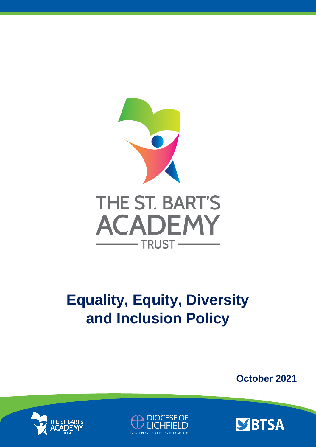

# **Equality, Equity, Diversity and Inclusion Policy**

**October 2021**





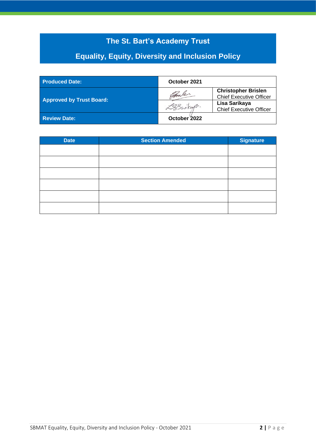## **The St. Bart's Academy Trust**

## **Equality, Equity, Diversity and Inclusion Policy**

| <b>Produced Date:</b>           | October 2021 |                                                              |
|---------------------------------|--------------|--------------------------------------------------------------|
| <b>Approved by Trust Board:</b> | Ofmler       | <b>Christopher Brislen</b><br><b>Chief Executive Officer</b> |
|                                 | LBSankage.   | Lisa Sarikaya<br><b>Chief Executive Officer</b>              |
| <b>Review Date:</b>             | October 2022 |                                                              |

| <b>Date</b> | <b>Section Amended</b> | <b>Signature</b> |
|-------------|------------------------|------------------|
|             |                        |                  |
|             |                        |                  |
|             |                        |                  |
|             |                        |                  |
|             |                        |                  |
|             |                        |                  |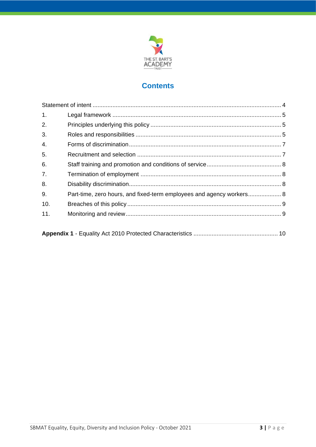

### **Contents**

| $\mathbf 1$ . |                                                                      |  |
|---------------|----------------------------------------------------------------------|--|
| 2.            |                                                                      |  |
| 3.            |                                                                      |  |
| 4.            |                                                                      |  |
| 5.            |                                                                      |  |
| 6.            |                                                                      |  |
| 7.            |                                                                      |  |
| 8.            |                                                                      |  |
| 9.            | Part-time, zero hours, and fixed-term employees and agency workers 8 |  |
| 10.           |                                                                      |  |
| 11.           |                                                                      |  |
|               |                                                                      |  |
|               |                                                                      |  |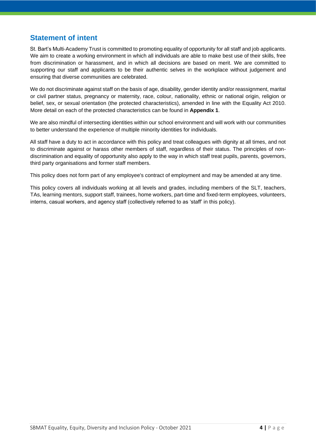#### <span id="page-3-0"></span>**Statement of intent**

St. Bart's Multi-Academy Trust is committed to promoting equality of opportunity for all staff and job applicants. We aim to create a working environment in which all individuals are able to make best use of their skills, free from discrimination or harassment, and in which all decisions are based on merit. We are committed to supporting our staff and applicants to be their authentic selves in the workplace without judgement and ensuring that diverse communities are celebrated.

We do not discriminate against staff on the basis of age, disability, gender identity and/or reassignment, marital or civil partner status, pregnancy or maternity, race, colour, nationality, ethnic or national origin, religion or belief, sex, or sexual orientation (the protected characteristics), amended in line with the Equality Act 2010. More detail on each of the protected characteristics can be found in **Appendix 1**.

We are also mindful of intersecting identities within our school environment and will work with our communities to better understand the experience of multiple minority identities for individuals.

All staff have a duty to act in accordance with this policy and treat colleagues with dignity at all times, and not to discriminate against or harass other members of staff, regardless of their status. The principles of nondiscrimination and equality of opportunity also apply to the way in which staff treat pupils, parents, governors, third party organisations and former staff members.

This policy does not form part of any employee's contract of employment and may be amended at any time.

This policy covers all individuals working at all levels and grades, including members of the SLT, teachers, TAs, learning mentors, support staff, trainees, home workers, part-time and fixed-term employees, volunteers, interns, casual workers, and agency staff (collectively referred to as 'staff' in this policy).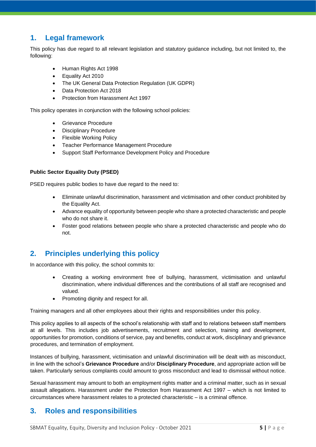#### <span id="page-4-0"></span>**1. Legal framework**

This policy has due regard to all relevant legislation and statutory guidance including, but not limited to, the following:

- Human Rights Act 1998
- Equality Act 2010
- The UK General Data Protection Regulation (UK GDPR)
- Data Protection Act 2018
- Protection from Harassment Act 1997

This policy operates in conjunction with the following school policies:

- Grievance Procedure
- Disciplinary Procedure
- Flexible Working Policy
- Teacher Performance Management Procedure
- Support Staff Performance Development Policy and Procedure

#### **Public Sector Equality Duty (PSED)**

PSED requires public bodies to have due regard to the need to:

- Eliminate unlawful discrimination, harassment and victimisation and other conduct prohibited by the Equality Act.
- Advance equality of opportunity between people who share a protected characteristic and people who do not share it.
- Foster good relations between people who share a protected characteristic and people who do not.

#### <span id="page-4-1"></span>**2. Principles underlying this policy**

In accordance with this policy, the school commits to:

- Creating a working environment free of bullying, harassment, victimisation and unlawful discrimination, where individual differences and the contributions of all staff are recognised and valued.
- Promoting dignity and respect for all.

Training managers and all other employees about their rights and responsibilities under this policy.

This policy applies to all aspects of the school's relationship with staff and to relations between staff members at all levels. This includes job advertisements, recruitment and selection, training and development, opportunities for promotion, conditions of service, pay and benefits, conduct at work, disciplinary and grievance procedures, and termination of employment.

Instances of bullying, harassment, victimisation and unlawful discrimination will be dealt with as misconduct, in line with the school's **Grievance Procedure** and/or **Disciplinary Procedure**, and appropriate action will be taken. Particularly serious complaints could amount to gross misconduct and lead to dismissal without notice.

Sexual harassment may amount to both an employment rights matter and a criminal matter, such as in sexual assault allegations. Harassment under the Protection from Harassment Act 1997 – which is not limited to circumstances where harassment relates to a protected characteristic – is a criminal offence.

#### <span id="page-4-2"></span>**3. Roles and responsibilities**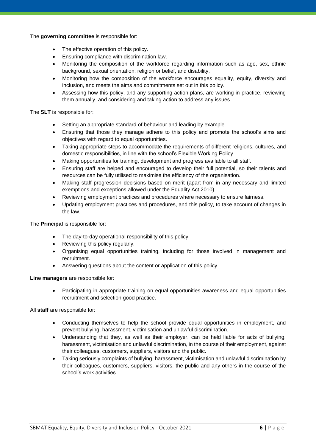The **governing committee** is responsible for:

- The effective operation of this policy.
- Ensuring compliance with discrimination law.
- Monitoring the composition of the workforce regarding information such as age, sex, ethnic background, sexual orientation, religion or belief, and disability.
- Monitoring how the composition of the workforce encourages equality, equity, diversity and inclusion, and meets the aims and commitments set out in this policy.
- Assessing how this policy, and any supporting action plans, are working in practice, reviewing them annually, and considering and taking action to address any issues.

The **SLT** is responsible for:

- Setting an appropriate standard of behaviour and leading by example.
- Ensuring that those they manage adhere to this policy and promote the school's aims and objectives with regard to equal opportunities.
- Taking appropriate steps to accommodate the requirements of different religions, cultures, and domestic responsibilities, in line with the school's Flexible Working Policy.
- Making opportunities for training, development and progress available to all staff.
- Ensuring staff are helped and encouraged to develop their full potential, so their talents and resources can be fully utilised to maximise the efficiency of the organisation.
- Making staff progression decisions based on merit (apart from in any necessary and limited exemptions and exceptions allowed under the Equality Act 2010).
- Reviewing employment practices and procedures where necessary to ensure fairness.
- Updating employment practices and procedures, and this policy, to take account of changes in the law.

The **Principal** is responsible for:

- The day-to-day operational responsibility of this policy.
- Reviewing this policy regularly.
- Organising equal opportunities training, including for those involved in management and recruitment.
- Answering questions about the content or application of this policy.

**Line managers** are responsible for:

 Participating in appropriate training on equal opportunities awareness and equal opportunities recruitment and selection good practice.

All **staff** are responsible for:

- Conducting themselves to help the school provide equal opportunities in employment, and prevent bullying, harassment, victimisation and unlawful discrimination.
- Understanding that they, as well as their employer, can be held liable for acts of bullying, harassment, victimisation and unlawful discrimination, in the course of their employment, against their colleagues, customers, suppliers, visitors and the public.
- Taking seriously complaints of bullying, harassment, victimisation and unlawful discrimination by their colleagues, customers, suppliers, visitors, the public and any others in the course of the school's work activities.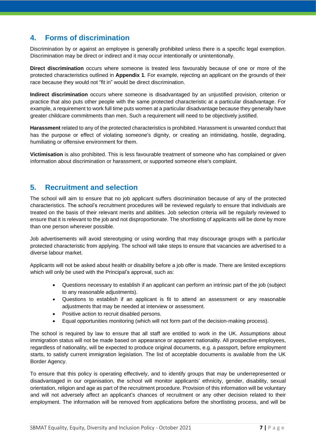#### <span id="page-6-0"></span>**4. Forms of discrimination**

Discrimination by or against an employee is generally prohibited unless there is a specific legal exemption. Discrimination may be direct or indirect and it may occur intentionally or unintentionally.

**Direct discrimination** occurs where someone is treated less favourably because of one or more of the protected characteristics outlined in **Appendix 1**. For example, rejecting an applicant on the grounds of their race because they would not "fit in" would be direct discrimination.

**Indirect discrimination** occurs where someone is disadvantaged by an unjustified provision, criterion or practice that also puts other people with the same protected characteristic at a particular disadvantage. For example, a requirement to work full time puts women at a particular disadvantage because they generally have greater childcare commitments than men. Such a requirement will need to be objectively justified.

**Harassment** related to any of the protected characteristics is prohibited. Harassment is unwanted conduct that has the purpose or effect of violating someone's dignity, or creating an intimidating, hostile, degrading, humiliating or offensive environment for them.

**Victimisation** is also prohibited. This is less favourable treatment of someone who has complained or given information about discrimination or harassment, or supported someone else's complaint.

#### <span id="page-6-1"></span>**5. Recruitment and selection**

The school will aim to ensure that no job applicant suffers discrimination because of any of the protected characteristics. The school's recruitment procedures will be reviewed regularly to ensure that individuals are treated on the basis of their relevant merits and abilities. Job selection criteria will be regularly reviewed to ensure that it is relevant to the job and not disproportionate. The shortlisting of applicants will be done by more than one person wherever possible.

Job advertisements will avoid stereotyping or using wording that may discourage groups with a particular protected characteristic from applying. The school will take steps to ensure that vacancies are advertised to a diverse labour market.

Applicants will not be asked about health or disability before a job offer is made. There are limited exceptions which will only be used with the Principal's approval, such as:

- Questions necessary to establish if an applicant can perform an intrinsic part of the job (subject to any reasonable adjustments).
- Questions to establish if an applicant is fit to attend an assessment or any reasonable adjustments that may be needed at interview or assessment.
- Positive action to recruit disabled persons.
- Equal opportunities monitoring (which will not form part of the decision-making process).

The school is required by law to ensure that all staff are entitled to work in the UK. Assumptions about immigration status will not be made based on appearance or apparent nationality. All prospective employees, regardless of nationality, will be expected to produce original documents, e.g. a passport, before employment starts, to satisfy current immigration legislation. The list of acceptable documents is available from the UK Border Agency.

To ensure that this policy is operating effectively, and to identify groups that may be underrepresented or disadvantaged in our organisation, the school will monitor applicants' ethnicity, gender, disability, sexual orientation, religion and age as part of the recruitment procedure. Provision of this information will be voluntary and will not adversely affect an applicant's chances of recruitment or any other decision related to their employment. The information will be removed from applications before the shortlisting process, and will be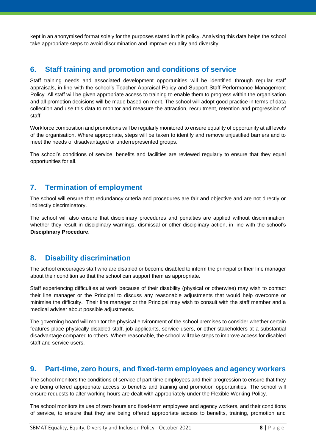kept in an anonymised format solely for the purposes stated in this policy. Analysing this data helps the school take appropriate steps to avoid discrimination and improve equality and diversity.

#### <span id="page-7-0"></span>**6. Staff training and promotion and conditions of service**

Staff training needs and associated development opportunities will be identified through regular staff appraisals, in line with the school's Teacher Appraisal Policy and Support Staff Performance Management Policy. All staff will be given appropriate access to training to enable them to progress within the organisation and all promotion decisions will be made based on merit. The school will adopt good practice in terms of data collection and use this data to monitor and measure the attraction, recruitment, retention and progression of staff.

Workforce composition and promotions will be regularly monitored to ensure equality of opportunity at all levels of the organisation. Where appropriate, steps will be taken to identify and remove unjustified barriers and to meet the needs of disadvantaged or underrepresented groups.

The school's conditions of service, benefits and facilities are reviewed regularly to ensure that they equal opportunities for all.

#### <span id="page-7-1"></span>**7. Termination of employment**

The school will ensure that redundancy criteria and procedures are fair and objective and are not directly or indirectly discriminatory.

The school will also ensure that disciplinary procedures and penalties are applied without discrimination, whether they result in disciplinary warnings, dismissal or other disciplinary action, in line with the school's **Disciplinary Procedure**.

#### <span id="page-7-2"></span>**8. Disability discrimination**

The school encourages staff who are disabled or become disabled to inform the principal or their line manager about their condition so that the school can support them as appropriate.

Staff experiencing difficulties at work because of their disability (physical or otherwise) may wish to contact their line manager or the Principal to discuss any reasonable adjustments that would help overcome or minimise the difficulty. Their line manager or the Principal may wish to consult with the staff member and a medical adviser about possible adjustments.

The governing board will monitor the physical environment of the school premises to consider whether certain features place physically disabled staff, job applicants, service users, or other stakeholders at a substantial disadvantage compared to others. Where reasonable, the school will take steps to improve access for disabled staff and service users.

#### <span id="page-7-3"></span>**9. Part-time, zero hours, and fixed-term employees and agency workers**

The school monitors the conditions of service of part-time employees and their progression to ensure that they are being offered appropriate access to benefits and training and promotion opportunities. The school will ensure requests to alter working hours are dealt with appropriately under the Flexible Working Policy.

The school monitors its use of zero hours and fixed-term employees and agency workers, and their conditions of service, to ensure that they are being offered appropriate access to benefits, training, promotion and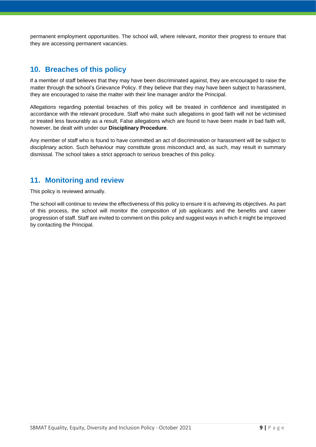permanent employment opportunities. The school will, where relevant, monitor their progress to ensure that they are accessing permanent vacancies.

#### <span id="page-8-0"></span>**10. Breaches of this policy**

If a member of staff believes that they may have been discriminated against, they are encouraged to raise the matter through the school's Grievance Policy. If they believe that they may have been subject to harassment, they are encouraged to raise the matter with their line manager and/or the Principal.

Allegations regarding potential breaches of this policy will be treated in confidence and investigated in accordance with the relevant procedure. Staff who make such allegations in good faith will not be victimised or treated less favourably as a result. False allegations which are found to have been made in bad faith will, however, be dealt with under our **Disciplinary Procedure**.

Any member of staff who is found to have committed an act of discrimination or harassment will be subject to disciplinary action. Such behaviour may constitute gross misconduct and, as such, may result in summary dismissal. The school takes a strict approach to serious breaches of this policy.

#### <span id="page-8-1"></span>**11. Monitoring and review**

This policy is reviewed annually.

The school will continue to review the effectiveness of this policy to ensure it is achieving its objectives. As part of this process, the school will monitor the composition of job applicants and the benefits and career progression of staff. Staff are invited to comment on this policy and suggest ways in which it might be improved by contacting the Principal.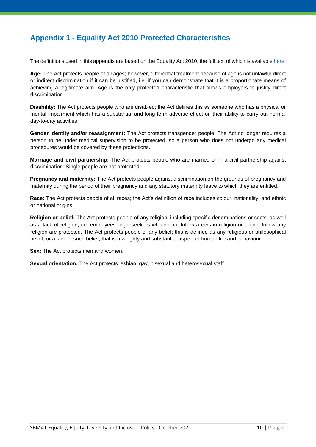#### <span id="page-9-0"></span>**Appendix 1 - Equality Act 2010 Protected Characteristics**

The definitions used in this appendix are based on the Equality Act 2010, the full text of which is availabl[e here.](https://www.legislation.gov.uk/ukpga/2010/15/contents)

**Age:** The Act protects people of all ages; however, differential treatment because of age is not unlawful direct or indirect discrimination if it can be justified, i.e. if you can demonstrate that it is a proportionate means of achieving a legitimate aim. Age is the only protected characteristic that allows employers to justify direct discrimination.

**Disability:** The Act protects people who are disabled; the Act defines this as someone who has a physical or mental impairment which has a substantial and long-term adverse effect on their ability to carry out normal day-to-day activities.

**Gender identity and/or reassignment:** The Act protects transgender people. The Act no longer requires a person to be under medical supervision to be protected, so a person who does not undergo any medical procedures would be covered by these protections.

**Marriage and civil partnership:** The Act protects people who are married or in a civil partnership against discrimination. Single people are not protected.

**Pregnancy and maternity:** The Act protects people against discrimination on the grounds of pregnancy and maternity during the period of their pregnancy and any statutory maternity leave to which they are entitled.

**Race:** The Act protects people of all races; the Act's definition of race includes colour, nationality, and ethnic or national origins.

**Religion or belief:** The Act protects people of any religion, including specific denominations or sects, as well as a lack of religion, i.e. employees or jobseekers who do not follow a certain religion or do not follow any religion are protected. The Act protects people of any belief; this is defined as any religious or philosophical belief, or a lack of such belief, that is a weighty and substantial aspect of human life and behaviour.

**Sex:** The Act protects men and women.

**Sexual orientation:** The Act protects lesbian, gay, bisexual and heterosexual staff.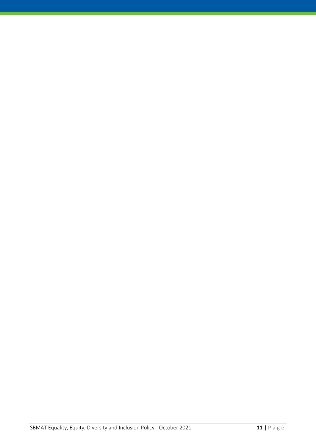#### SBMAT Equality, Equity, Diversity and Inclusion Policy - October 2021 **11 11 11 11 11 11**